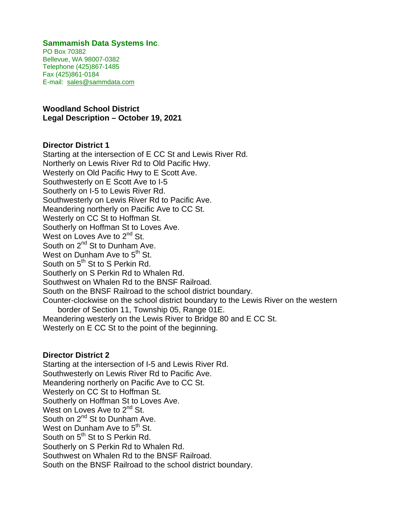## **Sammamish Data Systems Inc**.

PO Box 70382 Bellevue, WA 98007-0382 Telephone (425)867-1485 Fax (425)861-0184 E-mail: sales@sammdata.com

## **Woodland School District Legal Description – October 19, 2021**

## **Director District 1**

Starting at the intersection of E CC St and Lewis River Rd. Northerly on Lewis River Rd to Old Pacific Hwy. Westerly on Old Pacific Hwy to E Scott Ave. Southwesterly on E Scott Ave to I-5 Southerly on I-5 to Lewis River Rd. Southwesterly on Lewis River Rd to Pacific Ave. Meandering northerly on Pacific Ave to CC St. Westerly on CC St to Hoffman St. Southerly on Hoffman St to Loves Ave. West on Loves Ave to 2<sup>nd</sup> St. South on 2<sup>nd</sup> St to Dunham Ave. West on Dunham Ave to  $5<sup>th</sup>$  St. South on  $5<sup>th</sup>$  St to S Perkin Rd. Southerly on S Perkin Rd to Whalen Rd. Southwest on Whalen Rd to the BNSF Railroad. South on the BNSF Railroad to the school district boundary. Counter-clockwise on the school district boundary to the Lewis River on the western border of Section 11, Township 05, Range 01E. Meandering westerly on the Lewis River to Bridge 80 and E CC St. Westerly on E CC St to the point of the beginning.

#### **Director District 2**

Starting at the intersection of I-5 and Lewis River Rd. Southwesterly on Lewis River Rd to Pacific Ave. Meandering northerly on Pacific Ave to CC St. Westerly on CC St to Hoffman St. Southerly on Hoffman St to Loves Ave. West on Loves Ave to 2<sup>nd</sup> St. South on 2<sup>nd</sup> St to Dunham Ave. West on Dunham Ave to 5<sup>th</sup> St. South on 5<sup>th</sup> St to S Perkin Rd. Southerly on S Perkin Rd to Whalen Rd. Southwest on Whalen Rd to the BNSF Railroad. South on the BNSF Railroad to the school district boundary.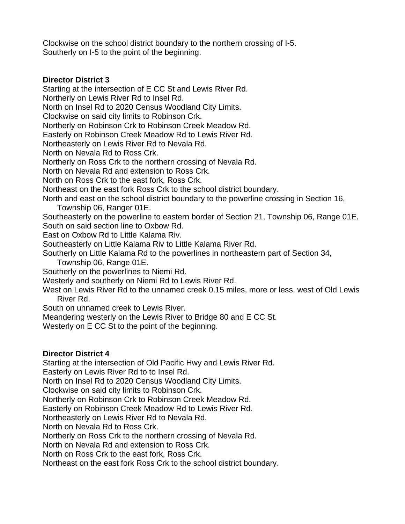Clockwise on the school district boundary to the northern crossing of I-5. Southerly on I-5 to the point of the beginning.

# **Director District 3**

Starting at the intersection of E CC St and Lewis River Rd. Northerly on Lewis River Rd to Insel Rd. North on Insel Rd to 2020 Census Woodland City Limits. Clockwise on said city limits to Robinson Crk. Northerly on Robinson Crk to Robinson Creek Meadow Rd. Easterly on Robinson Creek Meadow Rd to Lewis River Rd. Northeasterly on Lewis River Rd to Nevala Rd. North on Nevala Rd to Ross Crk. Northerly on Ross Crk to the northern crossing of Nevala Rd. North on Nevala Rd and extension to Ross Crk. North on Ross Crk to the east fork, Ross Crk. Northeast on the east fork Ross Crk to the school district boundary. North and east on the school district boundary to the powerline crossing in Section 16, Township 06, Ranger 01E. Southeasterly on the powerline to eastern border of Section 21, Township 06, Range 01E. South on said section line to Oxbow Rd. East on Oxbow Rd to Little Kalama Riv. Southeasterly on Little Kalama Riv to Little Kalama River Rd. Southerly on Little Kalama Rd to the powerlines in northeastern part of Section 34, Township 06, Range 01E. Southerly on the powerlines to Niemi Rd. Westerly and southerly on Niemi Rd to Lewis River Rd. West on Lewis River Rd to the unnamed creek 0.15 miles, more or less, west of Old Lewis River Rd. South on unnamed creek to Lewis River. Meandering westerly on the Lewis River to Bridge 80 and E CC St. Westerly on E CC St to the point of the beginning. **Director District 4** 

Starting at the intersection of Old Pacific Hwy and Lewis River Rd. Easterly on Lewis River Rd to to Insel Rd. North on Insel Rd to 2020 Census Woodland City Limits. Clockwise on said city limits to Robinson Crk. Northerly on Robinson Crk to Robinson Creek Meadow Rd. Easterly on Robinson Creek Meadow Rd to Lewis River Rd. Northeasterly on Lewis River Rd to Nevala Rd. North on Nevala Rd to Ross Crk. Northerly on Ross Crk to the northern crossing of Nevala Rd. North on Nevala Rd and extension to Ross Crk. North on Ross Crk to the east fork, Ross Crk. Northeast on the east fork Ross Crk to the school district boundary.